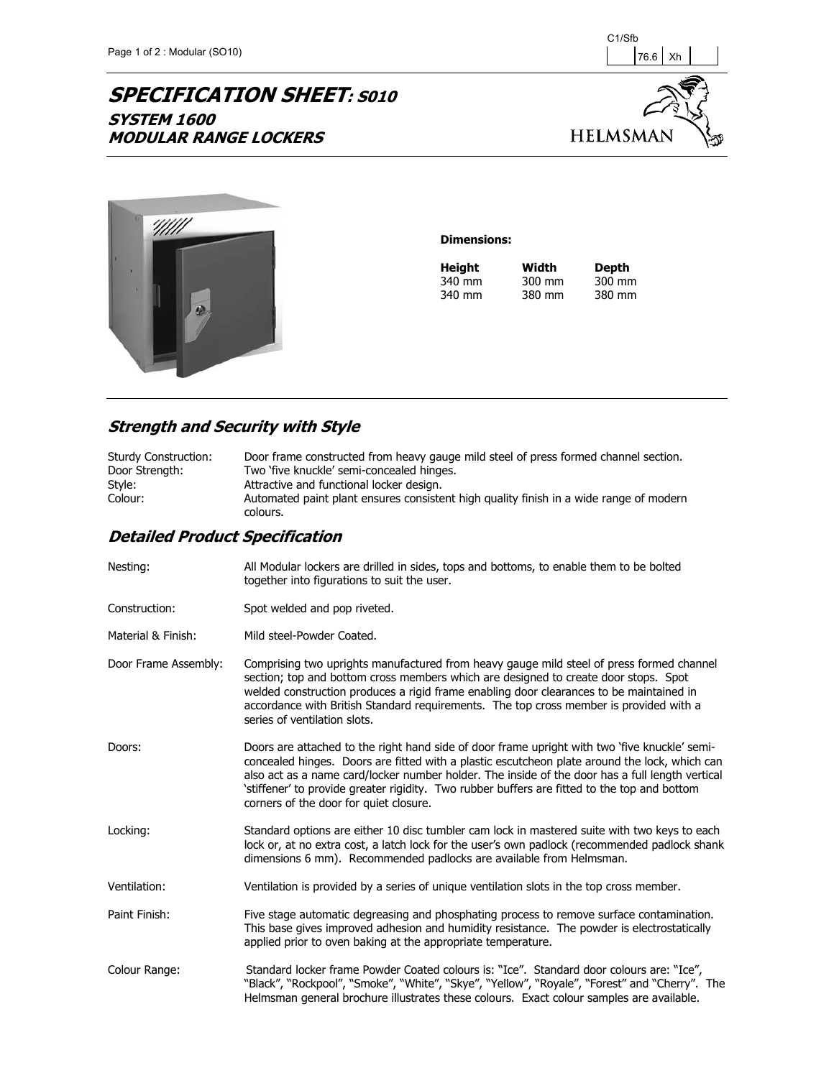## **SPECIFICATION SHEET: S010 SYSTEM 1600 MODULAR RANGE LOCKERS**





## **Dimensions:**

| Height | Width  | Depth  |
|--------|--------|--------|
| 340 mm | 300 mm | 300 mm |
| 340 mm | 380 mm | 380 mm |

## **Strength and Security with Style**

| <b>Sturdy Construction:</b> | Door frame constructed from heavy gauge mild steel of press formed channel section.                |
|-----------------------------|----------------------------------------------------------------------------------------------------|
| Door Strength:              | Two 'five knuckle' semi-concealed hinges.                                                          |
| Style:                      | Attractive and functional locker design.                                                           |
| Colour:                     | Automated paint plant ensures consistent high quality finish in a wide range of modern<br>colours. |

## **Detailed Product Specification**

| Nesting:             | All Modular lockers are drilled in sides, tops and bottoms, to enable them to be bolted<br>together into figurations to suit the user.                                                                                                                                                                                                                                                                                                      |
|----------------------|---------------------------------------------------------------------------------------------------------------------------------------------------------------------------------------------------------------------------------------------------------------------------------------------------------------------------------------------------------------------------------------------------------------------------------------------|
| Construction:        | Spot welded and pop riveted.                                                                                                                                                                                                                                                                                                                                                                                                                |
| Material & Finish:   | Mild steel-Powder Coated.                                                                                                                                                                                                                                                                                                                                                                                                                   |
| Door Frame Assembly: | Comprising two uprights manufactured from heavy gauge mild steel of press formed channel<br>section; top and bottom cross members which are designed to create door stops. Spot<br>welded construction produces a rigid frame enabling door clearances to be maintained in<br>accordance with British Standard requirements. The top cross member is provided with a<br>series of ventilation slots.                                        |
| Doors:               | Doors are attached to the right hand side of door frame upright with two 'five knuckle' semi-<br>concealed hinges. Doors are fitted with a plastic escutcheon plate around the lock, which can<br>also act as a name card/locker number holder. The inside of the door has a full length vertical<br>'stiffener' to provide greater rigidity. Two rubber buffers are fitted to the top and bottom<br>corners of the door for quiet closure. |
| Locking:             | Standard options are either 10 disc tumbler cam lock in mastered suite with two keys to each<br>lock or, at no extra cost, a latch lock for the user's own padlock (recommended padlock shank<br>dimensions 6 mm). Recommended padlocks are available from Helmsman.                                                                                                                                                                        |
| Ventilation:         | Ventilation is provided by a series of unique ventilation slots in the top cross member.                                                                                                                                                                                                                                                                                                                                                    |
| Paint Finish:        | Five stage automatic degreasing and phosphating process to remove surface contamination.<br>This base gives improved adhesion and humidity resistance. The powder is electrostatically<br>applied prior to oven baking at the appropriate temperature.                                                                                                                                                                                      |
| Colour Range:        | Standard locker frame Powder Coated colours is: "Ice". Standard door colours are: "Ice",<br>"Black", "Rockpool", "Smoke", "White", "Skye", "Yellow", "Royale", "Forest" and "Cherry". The<br>Helmsman general brochure illustrates these colours. Exact colour samples are available.                                                                                                                                                       |